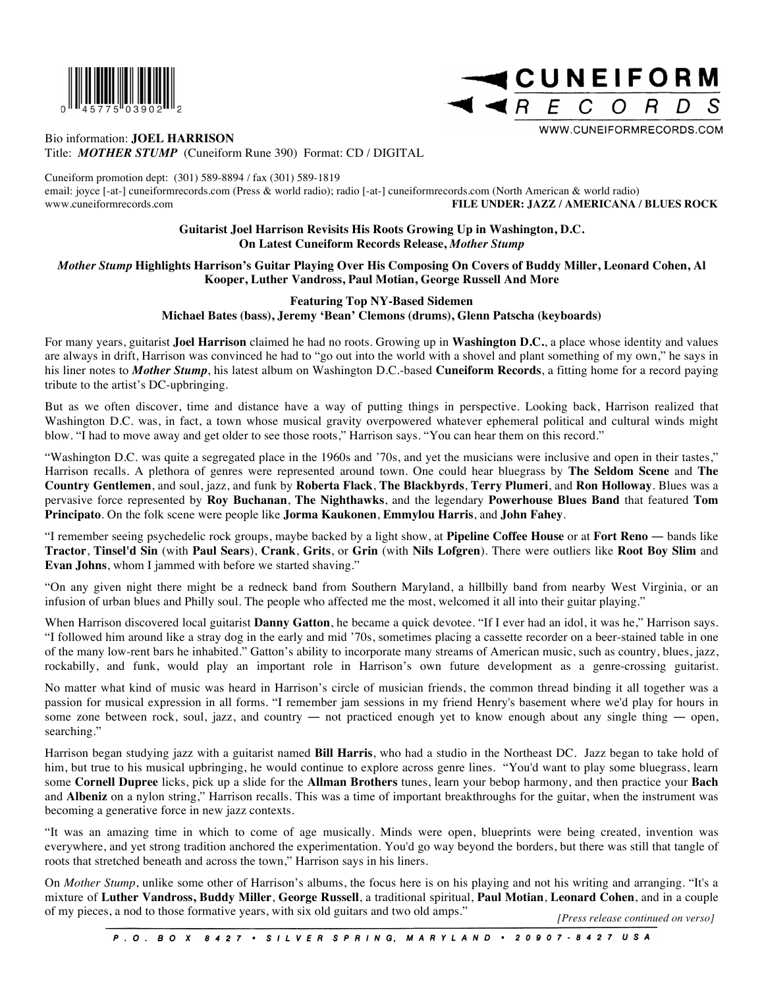

## Bio information: **JOEL HARRISON**

Title: *MOTHER STUMP* (Cuneiform Rune 390) Format: CD / DIGITAL

Cuneiform promotion dept: (301) 589-8894 / fax (301) 589-1819

email: joyce [-at-] cuneiformrecords.com (Press & world radio); radio [-at-] cuneiformrecords.com (North American & world radio) www.cuneiformrecords.com **FILE UNDER: JAZZ / AMERICANA / BLUES ROCK**

## **Guitarist Joel Harrison Revisits His Roots Growing Up in Washington, D.C. On Latest Cuneiform Records Release,** *Mother Stump*

*Mother Stump* **Highlights Harrison's Guitar Playing Over His Composing On Covers of Buddy Miller, Leonard Cohen, Al Kooper, Luther Vandross, Paul Motian, George Russell And More** 

## **Featuring Top NY-Based Sidemen Michael Bates (bass), Jeremy 'Bean' Clemons (drums), Glenn Patscha (keyboards)**

For many years, guitarist **Joel Harrison** claimed he had no roots. Growing up in **Washington D.C.**, a place whose identity and values are always in drift, Harrison was convinced he had to "go out into the world with a shovel and plant something of my own," he says in his liner notes to *Mother Stump*, his latest album on Washington D.C.-based **Cuneiform Records**, a fitting home for a record paying tribute to the artist's DC-upbringing.

But as we often discover, time and distance have a way of putting things in perspective. Looking back, Harrison realized that Washington D.C. was, in fact, a town whose musical gravity overpowered whatever ephemeral political and cultural winds might blow. "I had to move away and get older to see those roots," Harrison says. "You can hear them on this record."

"Washington D.C. was quite a segregated place in the 1960s and '70s, and yet the musicians were inclusive and open in their tastes," Harrison recalls. A plethora of genres were represented around town. One could hear bluegrass by **The Seldom Scene** and **The Country Gentlemen**, and soul, jazz, and funk by **Roberta Flack**, **The Blackbyrds**, **Terry Plumeri**, and **Ron Holloway**. Blues was a pervasive force represented by **Roy Buchanan**, **The Nighthawks**, and the legendary **Powerhouse Blues Band** that featured **Tom Principato**. On the folk scene were people like **Jorma Kaukonen**, **Emmylou Harris**, and **John Fahey**.

"I remember seeing psychedelic rock groups, maybe backed by a light show, at **Pipeline Coffee House** or at **Fort Reno** ― bands like **Tractor**, **Tinsel'd Sin** (with **Paul Sears**), **Crank**, **Grits**, or **Grin** (with **Nils Lofgren**). There were outliers like **Root Boy Slim** and **Evan Johns**, whom I jammed with before we started shaving."

"On any given night there might be a redneck band from Southern Maryland, a hillbilly band from nearby West Virginia, or an infusion of urban blues and Philly soul. The people who affected me the most, welcomed it all into their guitar playing."

When Harrison discovered local guitarist **Danny Gatton**, he became a quick devotee. "If I ever had an idol, it was he," Harrison says. "I followed him around like a stray dog in the early and mid '70s, sometimes placing a cassette recorder on a beer-stained table in one of the many low-rent bars he inhabited." Gatton's ability to incorporate many streams of American music, such as country, blues, jazz, rockabilly, and funk, would play an important role in Harrison's own future development as a genre-crossing guitarist.

No matter what kind of music was heard in Harrison's circle of musician friends, the common thread binding it all together was a passion for musical expression in all forms. "I remember jam sessions in my friend Henry's basement where we'd play for hours in some zone between rock, soul, jazz, and country — not practiced enough yet to know enough about any single thing — open, searching."

Harrison began studying jazz with a guitarist named **Bill Harris**, who had a studio in the Northeast DC. Jazz began to take hold of him, but true to his musical upbringing, he would continue to explore across genre lines. "You'd want to play some bluegrass, learn some **Cornell Dupree** licks, pick up a slide for the **Allman Brothers** tunes, learn your bebop harmony, and then practice your **Bach** and **Albeniz** on a nylon string," Harrison recalls. This was a time of important breakthroughs for the guitar, when the instrument was becoming a generative force in new jazz contexts.

"It was an amazing time in which to come of age musically. Minds were open, blueprints were being created, invention was everywhere, and yet strong tradition anchored the experimentation. You'd go way beyond the borders, but there was still that tangle of roots that stretched beneath and across the town," Harrison says in his liners.

On *Mother Stump*, unlike some other of Harrison's albums, the focus here is on his playing and not his writing and arranging. "It's a mixture of **Luther Vandross, Buddy Miller**, **George Russell**, a traditional spiritual, **Paul Motian**, **Leonard Cohen**, and in a couple of my pieces, a nod to those formative years, with six old guitars and two old amps." *[Press release continued on verso]*

**ICUNEIFORM** 

 $\Omega$ 

WWW.CUNEIFORMRECORDS.COM

C

R

 $ARE$